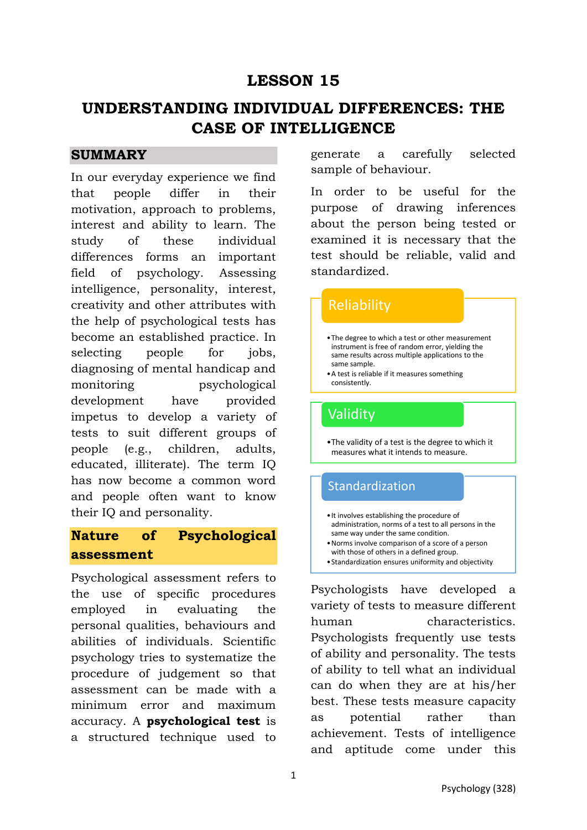# **LESSON 15**

# **UNDERSTANDING INDIVIDUAL DIFFERENCES: THE CASE OF INTELLIGENCE**

## **SUMMARY**

In our everyday experience we find that people differ in their motivation, approach to problems, interest and ability to learn. The study of these individual differences forms an important field of psychology. Assessing intelligence, personality, interest, creativity and other attributes with the help of psychological tests has become an established practice. In selecting people for jobs, diagnosing of mental handicap and monitoring psychological development have provided impetus to develop a variety of tests to suit different groups of people (e.g., children, adults, educated, illiterate). The term IQ has now become a common word and people often want to know their IQ and personality.

# **Nature of Psychological assessment**

Psychological assessment refers to the use of specific procedures employed in evaluating the personal qualities, behaviours and abilities of individuals. Scientific psychology tries to systematize the procedure of judgement so that assessment can be made with a minimum error and maximum accuracy. A **psychological test** is a structured technique used to generate a carefully selected sample of behaviour.

In order to be useful for the purpose of drawing inferences about the person being tested or examined it is necessary that the test should be reliable, valid and standardized.

# •The degree to which a test or other measurement instrument is free of random error, yielding the same results across multiple applications to the same sample. •A test is reliable if it measures something consistently. **Reliability** •The validity of a test is the degree to which it measures what it intends to measure. Validity •It involves establishing the procedure of administration, norms of a test to all persons in the same way under the same condition. **Standardization**

- •Norms involve comparison of a score of a person with those of others in a defined group.
- •Standardization ensures uniformity and objectivity.

Psychologists have developed a variety of tests to measure different human characteristics. Psychologists frequently use tests of ability and personality. The tests of ability to tell what an individual can do when they are at his/her best. These tests measure capacity as potential rather than achievement. Tests of intelligence and aptitude come under this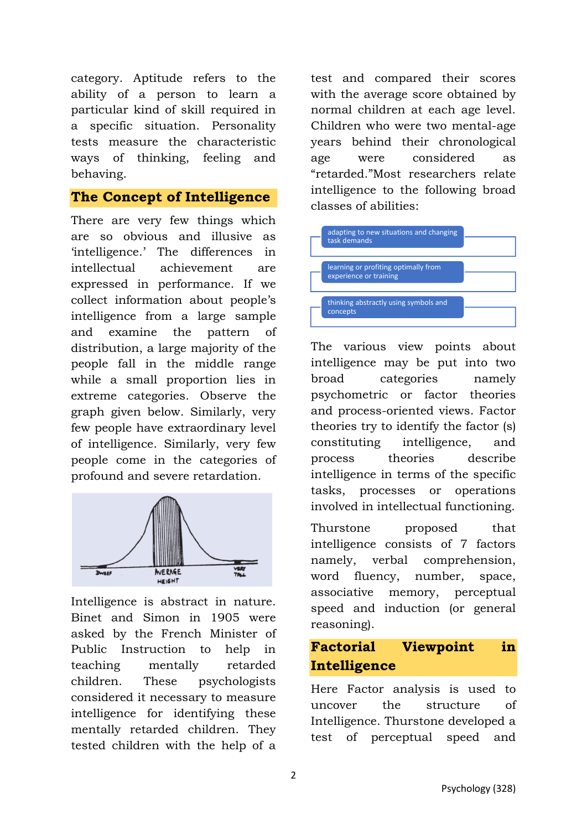category. Aptitude refers to the ability of a person to learn a particular kind of skill required in a specific situation. Personality tests measure the characteristic ways of thinking, feeling and behaving.

### **The Concept of Intelligence**

There are very few things which are so obvious and illusive as 'intelligence.' The differences in intellectual achievement are expressed in performance. If we collect information about people's intelligence from a large sample and examine the pattern of distribution, a large majority of the people fall in the middle range while a small proportion lies in extreme categories. Observe the graph given below. Similarly, very few people have extraordinary level of intelligence. Similarly, very few people come in the categories of profound and severe retardation.



Intelligence is abstract in nature. Binet and Simon in 1905 were asked by the French Minister of Public Instruction to help in teaching mentally retarded children. These psychologists considered it necessary to measure intelligence for identifying these mentally retarded children. They tested children with the help of a

test and compared their scores with the average score obtained by normal children at each age level. Children who were two mental-age years behind their chronological age were considered as "retarded."Most researchers relate intelligence to the following broad classes of abilities:



The various view points about intelligence may be put into two broad categories namely psychometric or factor theories and process-oriented views. Factor theories try to identify the factor (s) constituting intelligence, and process theories describe intelligence in terms of the specific tasks, processes or operations involved in intellectual functioning.

Thurstone proposed that intelligence consists of 7 factors namely, verbal comprehension, word fluency, number, space, associative memory, perceptual speed and induction (or general reasoning).

## **Factorial Viewpoint in Intelligence**

Here Factor analysis is used to uncover the structure of Intelligence. Thurstone developed a test of perceptual speed and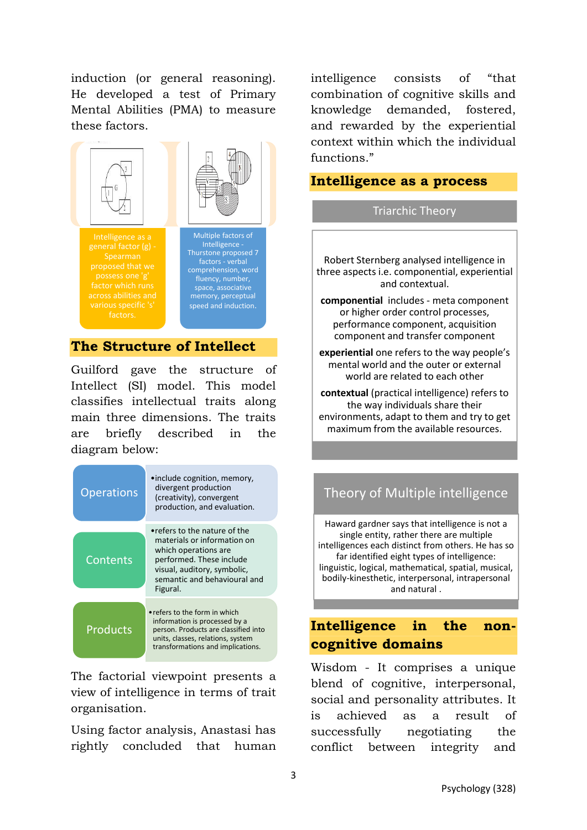induction (or general reasoning). He developed a test of Primary Mental Abilities (PMA) to measure these factors.



### **The Structure of Intellect**

factors.

Guilford gave the structure of Intellect (SI) model. This model classifies intellectual traits along main three dimensions. The traits are briefly described in the diagram below:

| <b>Operations</b> | • include cognition, memory,<br>divergent production<br>(creativity), convergent<br>production, and evaluation.                                                                            |
|-------------------|--------------------------------------------------------------------------------------------------------------------------------------------------------------------------------------------|
| Contents          | •refers to the nature of the<br>materials or information on<br>which operations are<br>performed. These include<br>visual, auditory, symbolic,<br>semantic and behavioural and<br>Figural. |
| <b>Products</b>   | • refers to the form in which<br>information is processed by a<br>person. Products are classified into<br>units, classes, relations, system<br>transformations and implications.           |

The factorial viewpoint presents a view of intelligence in terms of trait organisation.

Using factor analysis, Anastasi has rightly concluded that human intelligence consists of "that combination of cognitive skills and knowledge demanded, fostered, and rewarded by the experiential context within which the individual functions."

### **Intelligence as a process**

#### Triarchic Theory

Robert Sternberg analysed intelligence in three aspects i.e. componential, experiential and contextual.

**componential** includes - meta component or higher order control processes, performance component, acquisition component and transfer component

**experiential** one refers to the way people's mental world and the outer or external world are related to each other

**contextual** (practical intelligence) refers to the way individuals share their environments, adapt to them and try to get maximum from the available resources.

## Theory of Multiple intelligence

Haward gardner says that intelligence is not a single entity, rather there are multiple intelligences each distinct from others. He has so far identified eight types of intelligence: linguistic, logical, mathematical, spatial, musical, bodily-kinesthetic, interpersonal, intrapersonal and natural .

## **Intelligence in the noncognitive domains**

Wisdom - It comprises a unique blend of cognitive, interpersonal, social and personality attributes. It is achieved as a result of successfully negotiating the conflict between integrity and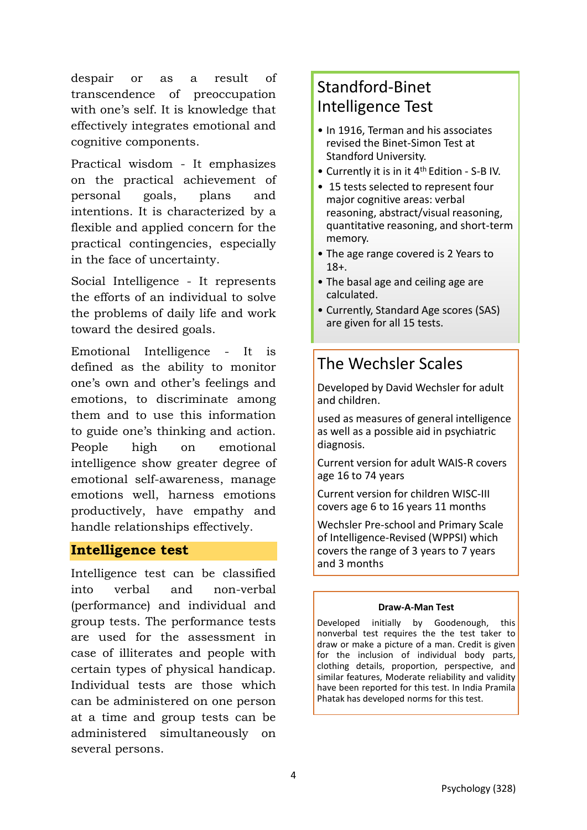despair or as a result of transcendence of preoccupation with one's self. It is knowledge that effectively integrates emotional and cognitive components.

Practical wisdom - It emphasizes on the practical achievement of personal goals, plans and intentions. It is characterized by a flexible and applied concern for the practical contingencies, especially in the face of uncertainty.

Social Intelligence - It represents the efforts of an individual to solve the problems of daily life and work toward the desired goals.

Emotional Intelligence - It is defined as the ability to monitor one's own and other's feelings and emotions, to discriminate among them and to use this information to guide one's thinking and action. People high on emotional intelligence show greater degree of emotional self-awareness, manage emotions well, harness emotions productively, have empathy and handle relationships effectively.

### **Intelligence test**

Intelligence test can be classified into verbal and non-verbal (performance) and individual and group tests. The performance tests are used for the assessment in case of illiterates and people with certain types of physical handicap. Individual tests are those which can be administered on one person at a time and group tests can be administered simultaneously on several persons.

# Standford-Binet Intelligence Test

- In 1916. Terman and his associates revised the Binet-Simon Test at Standford University.
- Currently it is in it 4th Edition S-B IV.
- 15 tests selected to represent four major cognitive areas: verbal reasoning, abstract/visual reasoning, quantitative reasoning, and short-term memory.
- The age range covered is 2 Years to 18+.
- The basal age and ceiling age are calculated.
- Currently, Standard Age scores (SAS) are given for all 15 tests.

# The Wechsler Scales

Developed by David Wechsler for adult and children.

used as measures of general intelligence as well as a possible aid in psychiatric diagnosis.

Current version for adult WAIS-R covers age 16 to 74 years

Current version for children WISC-III covers age 6 to 16 years 11 months

Wechsler Pre-school and Primary Scale of Intelligence-Revised (WPPSI) which covers the range of 3 years to 7 years and 3 months

#### **Draw-A-Man Test**

Developed initially by Goodenough, this nonverbal test requires the the test taker to draw or make a picture of a man. Credit is given for the inclusion of individual body parts, clothing details, proportion, perspective, and similar features, Moderate reliability and validity have been reported for this test. In India Pramila Phatak has developed norms for this test.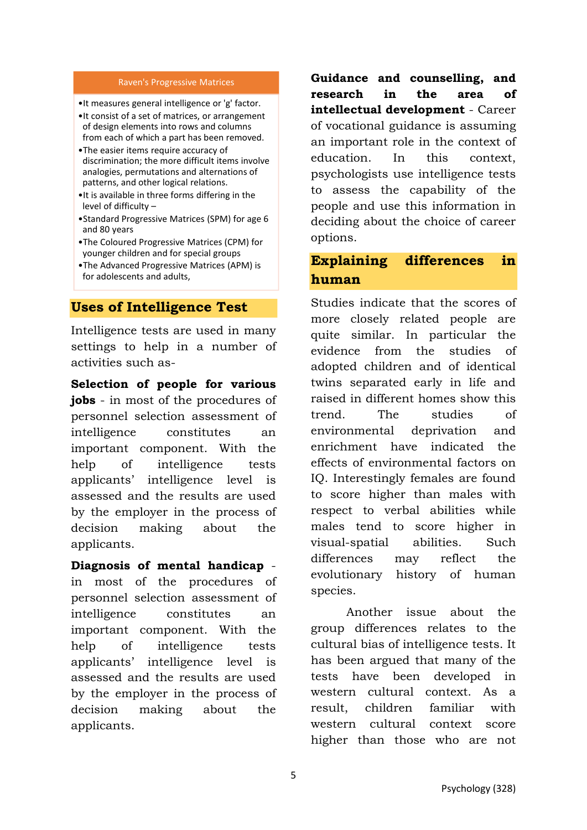#### Raven's Progressive Matrices

•It measures general intelligence or 'g' factor.

- •It consist of a set of matrices, or arrangement of design elements into rows and columns
- from each of which a part has been removed. •The easier items require accuracy of discrimination; the more difficult items involve analogies, permutations and alternations of
- patterns, and other logical relations. •It is available in three forms differing in the level of difficulty –
- •Standard Progressive Matrices (SPM) for age 6 and 80 years
- •The Coloured Progressive Matrices (CPM) for younger children and for special groups
- •The Advanced Progressive Matrices (APM) is for adolescents and adults,

### **Uses of Intelligence Test**

Intelligence tests are used in many settings to help in a number of activities such as-

**Selection of people for various jobs** - in most of the procedures of personnel selection assessment of intelligence constitutes an important component. With the help of intelligence tests applicants' intelligence level is assessed and the results are used by the employer in the process of decision making about the applicants.

#### **Diagnosis of mental handicap** -

in most of the procedures of personnel selection assessment of intelligence constitutes an important component. With the help of intelligence tests applicants' intelligence level is assessed and the results are used by the employer in the process of decision making about the applicants.

**Guidance and counselling, and research in the area of intellectual development** - Career of vocational guidance is assuming an important role in the context of education. In this context, psychologists use intelligence tests to assess the capability of the people and use this information in deciding about the choice of career options.

## **Explaining differences in human**

Studies indicate that the scores of more closely related people are quite similar. In particular the evidence from the studies of adopted children and of identical twins separated early in life and raised in different homes show this trend. The studies of environmental deprivation and enrichment have indicated the effects of environmental factors on IQ. Interestingly females are found to score higher than males with respect to verbal abilities while males tend to score higher in visual-spatial abilities. Such differences may reflect the evolutionary history of human species.

Another issue about the group differences relates to the cultural bias of intelligence tests. It has been argued that many of the tests have been developed in western cultural context. As a result, children familiar with western cultural context score higher than those who are not